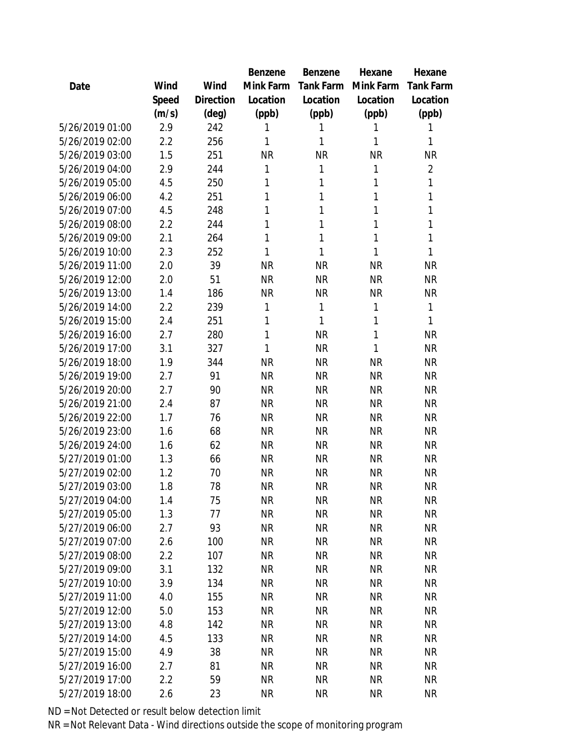|                 |       |           | Benzene   | Benzene   | Hexane    | Hexane         |
|-----------------|-------|-----------|-----------|-----------|-----------|----------------|
| Date            | Wind  | Wind      | Mink Farm | Tank Farm | Mink Farm | Tank Farm      |
|                 | Speed | Direction | Location  | Location  | Location  | Location       |
|                 | (m/s) | (deg)     | (ppb)     | (ppb)     | (ppb)     | (ppb)          |
| 5/26/2019 01:00 | 2.9   | 242       | 1         | 1         | 1         | 1              |
| 5/26/2019 02:00 | 2.2   | 256       | 1         | 1         | 1         | 1              |
| 5/26/2019 03:00 | 1.5   | 251       | <b>NR</b> | <b>NR</b> | <b>NR</b> | <b>NR</b>      |
| 5/26/2019 04:00 | 2.9   | 244       | 1         | 1         | 1         | $\overline{2}$ |
| 5/26/2019 05:00 | 4.5   | 250       | 1         | 1         | 1         | 1              |
| 5/26/2019 06:00 | 4.2   | 251       | 1         | 1         | 1         | 1              |
| 5/26/2019 07:00 | 4.5   | 248       | 1         | 1         | 1         | 1              |
| 5/26/2019 08:00 | 2.2   | 244       | 1         | 1         | 1         | 1              |
| 5/26/2019 09:00 | 2.1   | 264       | 1         | 1         | 1         | 1              |
| 5/26/2019 10:00 | 2.3   | 252       | 1         | 1         | 1         | 1              |
| 5/26/2019 11:00 | 2.0   | 39        | <b>NR</b> | <b>NR</b> | <b>NR</b> | <b>NR</b>      |
| 5/26/2019 12:00 | 2.0   | 51        | <b>NR</b> | <b>NR</b> | <b>NR</b> | <b>NR</b>      |
| 5/26/2019 13:00 | 1.4   | 186       | <b>NR</b> | <b>NR</b> | <b>NR</b> | <b>NR</b>      |
| 5/26/2019 14:00 | 2.2   | 239       | 1         | 1         | 1         | 1              |
| 5/26/2019 15:00 | 2.4   | 251       | 1         | 1         | 1         | 1              |
| 5/26/2019 16:00 | 2.7   | 280       | 1         | <b>NR</b> | 1         | <b>NR</b>      |
| 5/26/2019 17:00 | 3.1   | 327       | 1         | <b>NR</b> | 1         | <b>NR</b>      |
| 5/26/2019 18:00 | 1.9   | 344       | <b>NR</b> | <b>NR</b> | <b>NR</b> | <b>NR</b>      |
| 5/26/2019 19:00 | 2.7   | 91        | <b>NR</b> | <b>NR</b> | <b>NR</b> | <b>NR</b>      |
| 5/26/2019 20:00 | 2.7   | 90        | <b>NR</b> | <b>NR</b> | <b>NR</b> | <b>NR</b>      |
| 5/26/2019 21:00 | 2.4   | 87        | <b>NR</b> | <b>NR</b> | <b>NR</b> | <b>NR</b>      |
| 5/26/2019 22:00 | 1.7   | 76        | <b>NR</b> | <b>NR</b> | <b>NR</b> | <b>NR</b>      |
| 5/26/2019 23:00 | 1.6   | 68        | <b>NR</b> | <b>NR</b> | <b>NR</b> | <b>NR</b>      |
| 5/26/2019 24:00 | 1.6   | 62        | <b>NR</b> | <b>NR</b> | <b>NR</b> | <b>NR</b>      |
| 5/27/2019 01:00 | 1.3   | 66        | <b>NR</b> | <b>NR</b> | <b>NR</b> | <b>NR</b>      |
| 5/27/2019 02:00 | 1.2   | 70        | <b>NR</b> | <b>NR</b> | <b>NR</b> | <b>NR</b>      |
| 5/27/2019 03:00 | 1.8   | 78        | <b>NR</b> | <b>NR</b> | <b>NR</b> | <b>NR</b>      |
| 5/27/2019 04:00 | 1.4   | 75        | <b>NR</b> | NR        | <b>NR</b> | <b>NR</b>      |
| 5/27/2019 05:00 | 1.3   | 77        | <b>NR</b> | <b>NR</b> | <b>NR</b> | <b>NR</b>      |
| 5/27/2019 06:00 | 2.7   | 93        | <b>NR</b> | <b>NR</b> | <b>NR</b> | <b>NR</b>      |
| 5/27/2019 07:00 | 2.6   | 100       | <b>NR</b> | <b>NR</b> | <b>NR</b> | <b>NR</b>      |
| 5/27/2019 08:00 | 2.2   | 107       | <b>NR</b> | <b>NR</b> | <b>NR</b> | <b>NR</b>      |
| 5/27/2019 09:00 | 3.1   | 132       | <b>NR</b> | <b>NR</b> | <b>NR</b> | <b>NR</b>      |
| 5/27/2019 10:00 | 3.9   | 134       | <b>NR</b> | NR        | <b>NR</b> | <b>NR</b>      |
| 5/27/2019 11:00 | 4.0   | 155       | <b>NR</b> | NR        | <b>NR</b> | <b>NR</b>      |
| 5/27/2019 12:00 | 5.0   | 153       | <b>NR</b> | <b>NR</b> | <b>NR</b> | <b>NR</b>      |
| 5/27/2019 13:00 | 4.8   | 142       | <b>NR</b> | NR        | <b>NR</b> | <b>NR</b>      |
| 5/27/2019 14:00 | 4.5   | 133       | <b>NR</b> | <b>NR</b> | <b>NR</b> | <b>NR</b>      |
| 5/27/2019 15:00 | 4.9   | 38        | <b>NR</b> | <b>NR</b> | <b>NR</b> | <b>NR</b>      |
| 5/27/2019 16:00 | 2.7   | 81        | <b>NR</b> | NR        | <b>NR</b> | <b>NR</b>      |
| 5/27/2019 17:00 | 2.2   | 59        | <b>NR</b> | <b>NR</b> | <b>NR</b> | <b>NR</b>      |
| 5/27/2019 18:00 | 2.6   | 23        | <b>NR</b> | <b>NR</b> | <b>NR</b> | <b>NR</b>      |
|                 |       |           |           |           |           |                |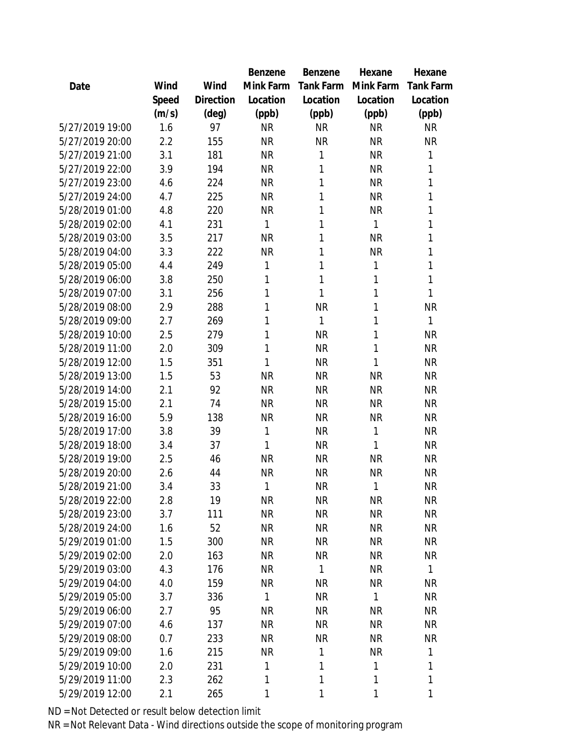|                 |       |                | Benzene      | Benzene          | Hexane    | Hexane           |
|-----------------|-------|----------------|--------------|------------------|-----------|------------------|
| Date            | Wind  | Wind           | Mink Farm    | <b>Tank Farm</b> | Mink Farm | <b>Tank Farm</b> |
|                 | Speed | Direction      | Location     | Location         | Location  | Location         |
|                 | (m/s) | $(\text{deg})$ | (ppb)        | (ppb)            | (ppb)     | (ppb)            |
| 5/27/2019 19:00 | 1.6   | 97             | <b>NR</b>    | <b>NR</b>        | <b>NR</b> | <b>NR</b>        |
| 5/27/2019 20:00 | 2.2   | 155            | <b>NR</b>    | <b>NR</b>        | <b>NR</b> | <b>NR</b>        |
| 5/27/2019 21:00 | 3.1   | 181            | <b>NR</b>    | 1                | <b>NR</b> | 1                |
| 5/27/2019 22:00 | 3.9   | 194            | <b>NR</b>    | 1                | <b>NR</b> | 1                |
| 5/27/2019 23:00 | 4.6   | 224            | <b>NR</b>    | 1                | <b>NR</b> | 1                |
| 5/27/2019 24:00 | 4.7   | 225            | <b>NR</b>    | 1                | <b>NR</b> | 1                |
| 5/28/2019 01:00 | 4.8   | 220            | <b>NR</b>    | 1                | <b>NR</b> | 1                |
| 5/28/2019 02:00 | 4.1   | 231            | 1            | 1                | 1         | 1                |
| 5/28/2019 03:00 | 3.5   | 217            | <b>NR</b>    | 1                | <b>NR</b> | 1                |
| 5/28/2019 04:00 | 3.3   | 222            | <b>NR</b>    | 1                | <b>NR</b> | 1                |
| 5/28/2019 05:00 | 4.4   | 249            | 1            | 1                | 1         | 1                |
| 5/28/2019 06:00 | 3.8   | 250            | 1            | 1                | 1         | 1                |
| 5/28/2019 07:00 | 3.1   | 256            | 1            | 1                | 1         | 1                |
| 5/28/2019 08:00 | 2.9   | 288            | 1            | <b>NR</b>        | 1         | <b>NR</b>        |
| 5/28/2019 09:00 | 2.7   | 269            | 1            | 1                | 1         | 1                |
| 5/28/2019 10:00 | 2.5   | 279            | 1            | <b>NR</b>        | 1         | <b>NR</b>        |
| 5/28/2019 11:00 | 2.0   | 309            | 1            | <b>NR</b>        | 1         | <b>NR</b>        |
| 5/28/2019 12:00 | 1.5   | 351            | 1            | <b>NR</b>        | 1         | <b>NR</b>        |
| 5/28/2019 13:00 | 1.5   | 53             | <b>NR</b>    | <b>NR</b>        | <b>NR</b> | <b>NR</b>        |
| 5/28/2019 14:00 | 2.1   | 92             | <b>NR</b>    | <b>NR</b>        | <b>NR</b> | <b>NR</b>        |
| 5/28/2019 15:00 | 2.1   | 74             | <b>NR</b>    | <b>NR</b>        | <b>NR</b> | <b>NR</b>        |
| 5/28/2019 16:00 | 5.9   | 138            | <b>NR</b>    | <b>NR</b>        | <b>NR</b> | <b>NR</b>        |
| 5/28/2019 17:00 | 3.8   | 39             | 1            | <b>NR</b>        | 1         | <b>NR</b>        |
| 5/28/2019 18:00 | 3.4   | 37             | 1            | <b>NR</b>        | 1         | <b>NR</b>        |
| 5/28/2019 19:00 | 2.5   | 46             | <b>NR</b>    | <b>NR</b>        | <b>NR</b> | <b>NR</b>        |
| 5/28/2019 20:00 | 2.6   | 44             | <b>NR</b>    | <b>NR</b>        | <b>NR</b> | <b>NR</b>        |
| 5/28/2019 21:00 | 3.4   | 33             | 1            | <b>NR</b>        | 1         | <b>NR</b>        |
| 5/28/2019 22:00 | 2.8   | 19             | <b>NR</b>    | <b>NR</b>        | NR        | <b>NR</b>        |
| 5/28/2019 23:00 | 3.7   | 111            | <b>NR</b>    | <b>NR</b>        | <b>NR</b> | <b>NR</b>        |
| 5/28/2019 24:00 | 1.6   | 52             | <b>NR</b>    | <b>NR</b>        | <b>NR</b> | <b>NR</b>        |
| 5/29/2019 01:00 | 1.5   | 300            | <b>NR</b>    | <b>NR</b>        | <b>NR</b> | <b>NR</b>        |
| 5/29/2019 02:00 | 2.0   | 163            | <b>NR</b>    | <b>NR</b>        | <b>NR</b> | <b>NR</b>        |
| 5/29/2019 03:00 | 4.3   | 176            | <b>NR</b>    | 1                | <b>NR</b> | $\mathbf{1}$     |
| 5/29/2019 04:00 | 4.0   | 159            | <b>NR</b>    | <b>NR</b>        | <b>NR</b> | <b>NR</b>        |
| 5/29/2019 05:00 | 3.7   | 336            | $\mathbf{1}$ | <b>NR</b>        | 1         | <b>NR</b>        |
| 5/29/2019 06:00 | 2.7   | 95             | <b>NR</b>    | <b>NR</b>        | <b>NR</b> | <b>NR</b>        |
| 5/29/2019 07:00 | 4.6   | 137            | <b>NR</b>    | <b>NR</b>        | <b>NR</b> | <b>NR</b>        |
| 5/29/2019 08:00 | 0.7   | 233            | <b>NR</b>    | <b>NR</b>        | <b>NR</b> | <b>NR</b>        |
| 5/29/2019 09:00 | 1.6   | 215            | <b>NR</b>    | 1                | <b>NR</b> | 1                |
| 5/29/2019 10:00 | 2.0   | 231            | 1            | 1                | 1         | 1                |
| 5/29/2019 11:00 | 2.3   | 262            | 1            | 1                | 1         | 1                |
| 5/29/2019 12:00 | 2.1   | 265            | 1            | 1                | 1         | 1                |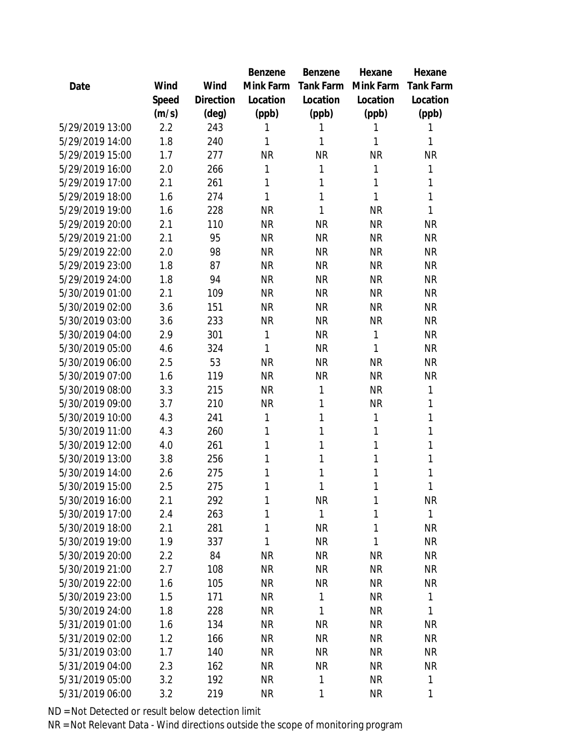|                 |       |                | Benzene   | Benzene   | Hexane    | Hexane       |
|-----------------|-------|----------------|-----------|-----------|-----------|--------------|
| Date            | Wind  | Wind           | Mink Farm | Tank Farm | Mink Farm | Tank Farm    |
|                 | Speed | Direction      | Location  | Location  | Location  | Location     |
|                 | (m/s) | $(\text{deg})$ | (ppb)     | (ppb)     | (ppb)     | (ppb)        |
| 5/29/2019 13:00 | 2.2   | 243            | 1         | 1         | 1         | 1            |
| 5/29/2019 14:00 | 1.8   | 240            | 1         | 1         | 1         | 1            |
| 5/29/2019 15:00 | 1.7   | 277            | <b>NR</b> | <b>NR</b> | <b>NR</b> | NR           |
| 5/29/2019 16:00 | 2.0   | 266            | 1         | 1         | 1         | 1            |
| 5/29/2019 17:00 | 2.1   | 261            | 1         | 1         | 1         | $\mathbf{1}$ |
| 5/29/2019 18:00 | 1.6   | 274            | 1         | 1         | 1         | 1            |
| 5/29/2019 19:00 | 1.6   | 228            | <b>NR</b> | 1         | <b>NR</b> | 1            |
| 5/29/2019 20:00 | 2.1   | 110            | <b>NR</b> | <b>NR</b> | <b>NR</b> | <b>NR</b>    |
| 5/29/2019 21:00 | 2.1   | 95             | <b>NR</b> | <b>NR</b> | <b>NR</b> | <b>NR</b>    |
| 5/29/2019 22:00 | 2.0   | 98             | <b>NR</b> | <b>NR</b> | <b>NR</b> | <b>NR</b>    |
| 5/29/2019 23:00 | 1.8   | 87             | <b>NR</b> | <b>NR</b> | <b>NR</b> | <b>NR</b>    |
| 5/29/2019 24:00 | 1.8   | 94             | <b>NR</b> | <b>NR</b> | <b>NR</b> | <b>NR</b>    |
| 5/30/2019 01:00 | 2.1   | 109            | <b>NR</b> | <b>NR</b> | <b>NR</b> | <b>NR</b>    |
| 5/30/2019 02:00 | 3.6   | 151            | <b>NR</b> | <b>NR</b> | <b>NR</b> | <b>NR</b>    |
| 5/30/2019 03:00 | 3.6   | 233            | <b>NR</b> | <b>NR</b> | <b>NR</b> | <b>NR</b>    |
| 5/30/2019 04:00 | 2.9   | 301            | 1         | <b>NR</b> | 1         | <b>NR</b>    |
| 5/30/2019 05:00 | 4.6   | 324            | 1         | <b>NR</b> | 1         | <b>NR</b>    |
| 5/30/2019 06:00 | 2.5   | 53             | <b>NR</b> | <b>NR</b> | <b>NR</b> | <b>NR</b>    |
| 5/30/2019 07:00 | 1.6   | 119            | <b>NR</b> | <b>NR</b> | <b>NR</b> | <b>NR</b>    |
| 5/30/2019 08:00 | 3.3   | 215            | <b>NR</b> | 1         | <b>NR</b> | 1            |
| 5/30/2019 09:00 | 3.7   | 210            | <b>NR</b> | 1         | <b>NR</b> | 1            |
| 5/30/2019 10:00 | 4.3   | 241            | 1         | 1         | 1         | 1            |
| 5/30/2019 11:00 | 4.3   | 260            | 1         | 1         | 1         | 1            |
| 5/30/2019 12:00 | 4.0   | 261            | 1         | 1         | 1         | $\mathbf 1$  |
| 5/30/2019 13:00 | 3.8   | 256            | 1         | 1         | 1         | 1            |
| 5/30/2019 14:00 | 2.6   | 275            | 1         | 1         | 1         | 1            |
| 5/30/2019 15:00 | 2.5   | 275            | 1         | 1         | 1         | 1            |
| 5/30/2019 16:00 | 2.1   | 292            | 1         | <b>NR</b> | 1         | NR           |
| 5/30/2019 17:00 | 2.4   | 263            | 1         | 1         | 1         | 1            |
| 5/30/2019 18:00 | 2.1   | 281            | 1         | <b>NR</b> | 1         | <b>NR</b>    |
| 5/30/2019 19:00 | 1.9   | 337            | 1         | <b>NR</b> | 1         | <b>NR</b>    |
| 5/30/2019 20:00 | 2.2   | 84             | <b>NR</b> | <b>NR</b> | <b>NR</b> | <b>NR</b>    |
| 5/30/2019 21:00 | 2.7   | 108            | <b>NR</b> | <b>NR</b> | <b>NR</b> | <b>NR</b>    |
| 5/30/2019 22:00 | 1.6   | 105            | <b>NR</b> | <b>NR</b> | <b>NR</b> | <b>NR</b>    |
| 5/30/2019 23:00 | 1.5   | 171            | <b>NR</b> | 1         | <b>NR</b> | 1            |
| 5/30/2019 24:00 | 1.8   | 228            | <b>NR</b> | 1         | <b>NR</b> | 1            |
| 5/31/2019 01:00 | 1.6   | 134            | <b>NR</b> | <b>NR</b> | <b>NR</b> | <b>NR</b>    |
| 5/31/2019 02:00 | 1.2   | 166            | <b>NR</b> | <b>NR</b> | <b>NR</b> | <b>NR</b>    |
| 5/31/2019 03:00 | 1.7   | 140            | <b>NR</b> | <b>NR</b> | <b>NR</b> | <b>NR</b>    |
| 5/31/2019 04:00 | 2.3   | 162            | NR        | <b>NR</b> | NR        | <b>NR</b>    |
| 5/31/2019 05:00 | 3.2   | 192            | <b>NR</b> | 1         | <b>NR</b> | 1            |
| 5/31/2019 06:00 | 3.2   | 219            | <b>NR</b> | 1         | <b>NR</b> | 1            |